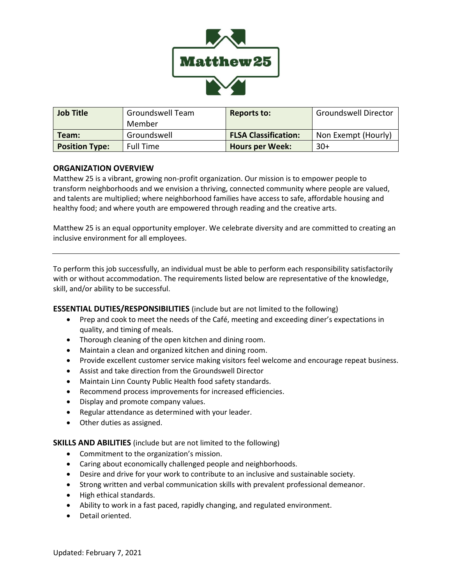

| <b>Job Title</b>      | <b>Groundswell Team</b> | Reports to:                 | <b>Groundswell Director</b> |
|-----------------------|-------------------------|-----------------------------|-----------------------------|
|                       | Member                  |                             |                             |
| Team:                 | Groundswell             | <b>FLSA Classification:</b> | Non Exempt (Hourly)         |
| <b>Position Type:</b> | <b>Full Time</b>        | <b>Hours per Week:</b>      | $30+$                       |

## **ORGANIZATION OVERVIEW**

Matthew 25 is a vibrant, growing non-profit organization. Our mission is to empower people to transform neighborhoods and we envision a thriving, connected community where people are valued, and talents are multiplied; where neighborhood families have access to safe, affordable housing and healthy food; and where youth are empowered through reading and the creative arts.

Matthew 25 is an equal opportunity employer. We celebrate diversity and are committed to creating an inclusive environment for all employees.

To perform this job successfully, an individual must be able to perform each responsibility satisfactorily with or without accommodation. The requirements listed below are representative of the knowledge, skill, and/or ability to be successful.

**ESSENTIAL DUTIES/RESPONSIBILITIES** (include but are not limited to the following)

- Prep and cook to meet the needs of the Café, meeting and exceeding diner's expectations in quality, and timing of meals.
- Thorough cleaning of the open kitchen and dining room.
- Maintain a clean and organized kitchen and dining room.
- Provide excellent customer service making visitors feel welcome and encourage repeat business.
- Assist and take direction from the Groundswell Director
- Maintain Linn County Public Health food safety standards.
- Recommend process improvements for increased efficiencies.
- Display and promote company values.
- Regular attendance as determined with your leader.
- Other duties as assigned.

**SKILLS AND ABILITIES** (include but are not limited to the following)

- Commitment to the organization's mission.
- Caring about economically challenged people and neighborhoods.
- Desire and drive for your work to contribute to an inclusive and sustainable society.
- Strong written and verbal communication skills with prevalent professional demeanor.
- High ethical standards.
- Ability to work in a fast paced, rapidly changing, and regulated environment.
- Detail oriented.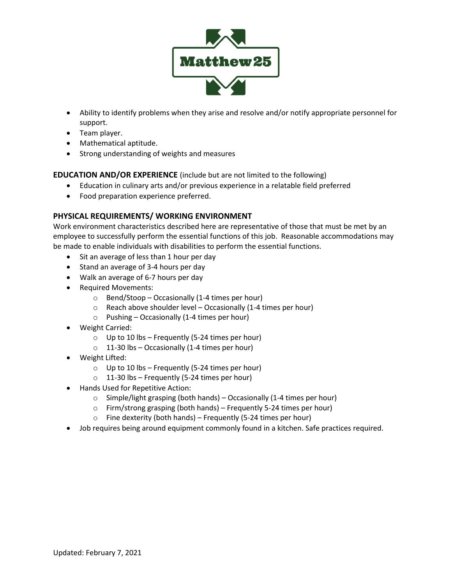

- Ability to identify problems when they arise and resolve and/or notify appropriate personnel for support.
- Team player.
- Mathematical aptitude.
- Strong understanding of weights and measures

**EDUCATION AND/OR EXPERIENCE** (include but are not limited to the following)

- Education in culinary arts and/or previous experience in a relatable field preferred
- Food preparation experience preferred.

## **PHYSICAL REQUIREMENTS/ WORKING ENVIRONMENT**

Work environment characteristics described here are representative of those that must be met by an employee to successfully perform the essential functions of this job. Reasonable accommodations may be made to enable individuals with disabilities to perform the essential functions.

- Sit an average of less than 1 hour per day
- Stand an average of 3-4 hours per day
- Walk an average of 6-7 hours per day
- Required Movements:
	- $\circ$  Bend/Stoop Occasionally (1-4 times per hour)
	- $\circ$  Reach above shoulder level Occasionally (1-4 times per hour)
	- $\circ$  Pushing Occasionally (1-4 times per hour)
- Weight Carried:
	- $\circ$  Up to 10 lbs Frequently (5-24 times per hour)
	- $\circ$  11-30 lbs Occasionally (1-4 times per hour)
- Weight Lifted:
	- $\circ$  Up to 10 lbs Frequently (5-24 times per hour)
	- $\circ$  11-30 lbs Frequently (5-24 times per hour)
- Hands Used for Repetitive Action:
	- $\circ$  Simple/light grasping (both hands) Occasionally (1-4 times per hour)
	- $\circ$  Firm/strong grasping (both hands) Frequently 5-24 times per hour)
	- $\circ$  Fine dexterity (both hands) Frequently (5-24 times per hour)
- Job requires being around equipment commonly found in a kitchen. Safe practices required.